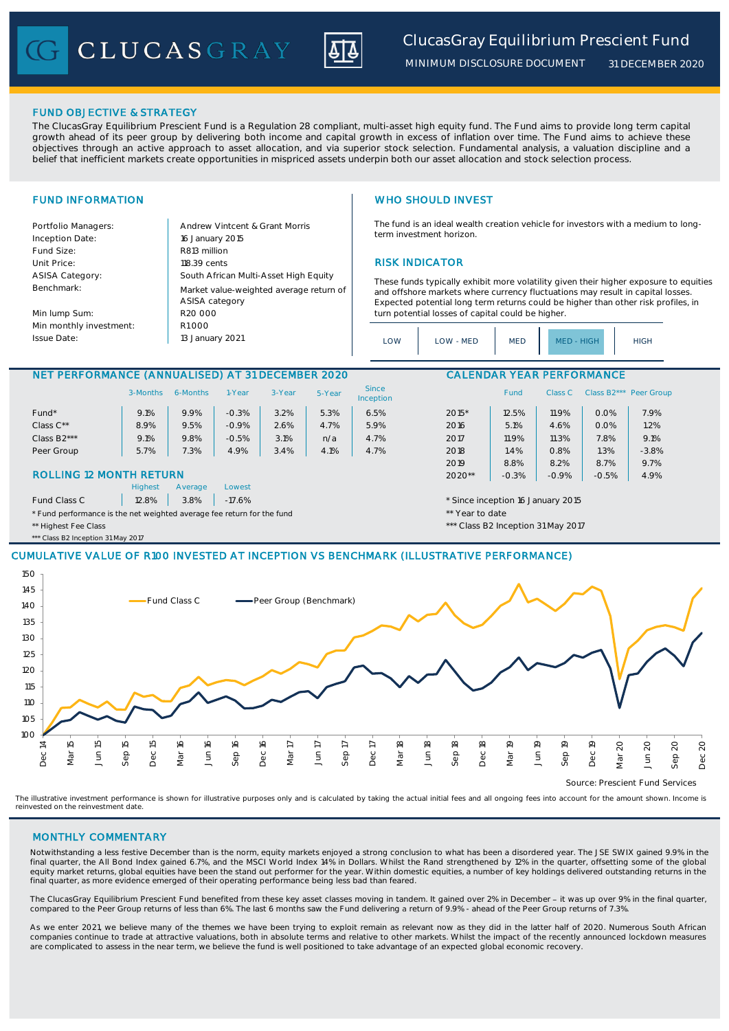CLUCASGRAY



*MINIMUM DISCLOSURE DOCUMENT*

*31 DECEMBER 2020*

## FUND OBJECTIVE & STRATEGY

The ClucasGray Equilibrium Prescient Fund is a Regulation 28 compliant, multi-asset high equity fund. The Fund aims to provide long term capital growth ahead of its peer group by delivering both income and capital growth in excess of inflation over time. The Fund aims to achieve these objectives through an active approach to asset allocation, and via superior stock selection. Fundamental analysis, a valuation discipline and a belief that inefficient markets create opportunities in mispriced assets underpin both our asset allocation and stock selection process.

Portfolio Managers: <br>Andrew Vintcent & Grant Morris Inception Date: Fund Size: R813 million ASISA Category: Benchmark:

Min lump Sum: Min monthly investment: Issue Date:

Unit Price: 118.39 cents RISK INDICATOR South African Multi-Asset High Equity 16 January 2015 R20 000 Market value-weighted average return of ASISA category 13 January 2021  $R1000$ 

# FUND INFORMATION WHO SHOULD INVEST

The fund is an ideal wealth creation vehicle for investors with a medium to longterm investment horizon.

These funds typically exhibit more volatility given their higher exposure to equities and offshore markets where currency fluctuations may result in capital losses. Expected potential long term returns could be higher than other risk profiles, in turn potential losses of capital could be higher.

| LOW | LOW - MED | <b>MED</b> | MFD - HIGH | <b>HIGH</b> |
|-----|-----------|------------|------------|-------------|
|-----|-----------|------------|------------|-------------|

### NET PERFORMANCE (ANNUALISED) AT 31 DECEMBER 2020 CALENDAR YEAR PERFORMANCE

|                                                                        | 3-Months                                                       | 6-Months | 1-Year  | 3-Year | 5-Year          | <b>Since</b><br>Inception |         | Fund    | Class C |      | Class B2*** Peer Group |
|------------------------------------------------------------------------|----------------------------------------------------------------|----------|---------|--------|-----------------|---------------------------|---------|---------|---------|------|------------------------|
| Fund*                                                                  | 9.1%                                                           | 9.9%     | $-0.3%$ | 3.2%   | 5.3%            | 6.5%                      | $2015*$ | 12.5%   | 11.9%   | 0.0% | 7.9%                   |
| Class $C^{\star\star}$                                                 | 8.9%                                                           | 9.5%     | $-0.9%$ | 2.6%   | 4.7%            | 5.9%                      | 2016    | 5.1%    | 4.6%    | 0.0% | 1.2%                   |
| Class B <sub>2</sub> ***                                               | 9.1%                                                           | 9.8%     | $-0.5%$ | 3.1%   | n/a             | 4.7%                      | 2017    | 11.9%   | 11.3%   | 7.8% | 9.1%                   |
| Peer Group                                                             | 5.7%                                                           | 7.3%     | 4.9%    | 3.4%   | 4.1%            | 4.7%                      | 2018    | 1.4%    | 0.8%    | 1.3% | $-3.8%$                |
|                                                                        |                                                                |          |         |        |                 |                           | 2019    | 8.8%    | 8.2%    | 8.7% | 9.7%                   |
| <b>ROLLING 12 MONTH RETURN</b>                                         |                                                                |          |         |        | $2020**$        | $-0.3%$                   | $-0.9%$ | $-0.5%$ | 4.9%    |      |                        |
|                                                                        | <b>Highest</b>                                                 | Average  | Lowest  |        |                 |                           |         |         |         |      |                        |
| Fund Class C                                                           | 3.8%<br>12.8%<br>$-17.6%$<br>* Since inception 16 January 2015 |          |         |        |                 |                           |         |         |         |      |                        |
| * Fund performance is the net weighted average fee return for the fund |                                                                |          |         |        | ** Year to date |                           |         |         |         |      |                        |

\*\* Highest Fee Class \*\*\* Class B2 Inception 31 May 2017

\*\*\* Class B2 Inception 31 May 2017

# CUMULATIVE VALUE OF R100 INVESTED AT INCEPTION VS BENCHMARK (ILLUSTRATIVE PERFORMANCE)



Source: Prescient Fund Services

The illustrative investment performance is shown for illustrative purposes only and is calculated by taking the actual initial fees and all ongoing fees into account for the amount shown. Income is reinvested on the reinvestment date.

### MONTHLY COMMENTARY

Notwithstanding a less festive December than is the norm, equity markets enjoyed a strong conclusion to what has been a disordered year. The JSE SWIX gained 9.9% in the final quarter, the All Bond Index gained 6.7%, and the MSCI World Index 14% in Dollars. Whilst the Rand strengthened by 12% in the quarter, offsetting some of the global equity market returns, global equities have been the stand out performer for the year. Within domestic equities, a number of key holdings delivered outstanding returns in the final quarter, as more evidence emerged of their operating performance being less bad than feared.

The ClucasGray Equilibrium Prescient Fund benefited from these key asset classes moving in tandem. It gained over 2% in December - it was up over 9% in the final quarter, compared to the Peer Group returns of less than 6%. The last 6 months saw the Fund delivering a return of 9.9% - ahead of the Peer Group returns of 7.3%.

As we enter 2021, we believe many of the themes we have been trying to exploit remain as relevant now as they did in the latter half of 2020. Numerous South African companies continue to trade at attractive valuations, both in absolute terms and relative to other markets. Whilst the impact of the recently announced lockdown measures are complicated to assess in the near term, we believe the fund is well positioned to take advantage of an expected global economic recovery.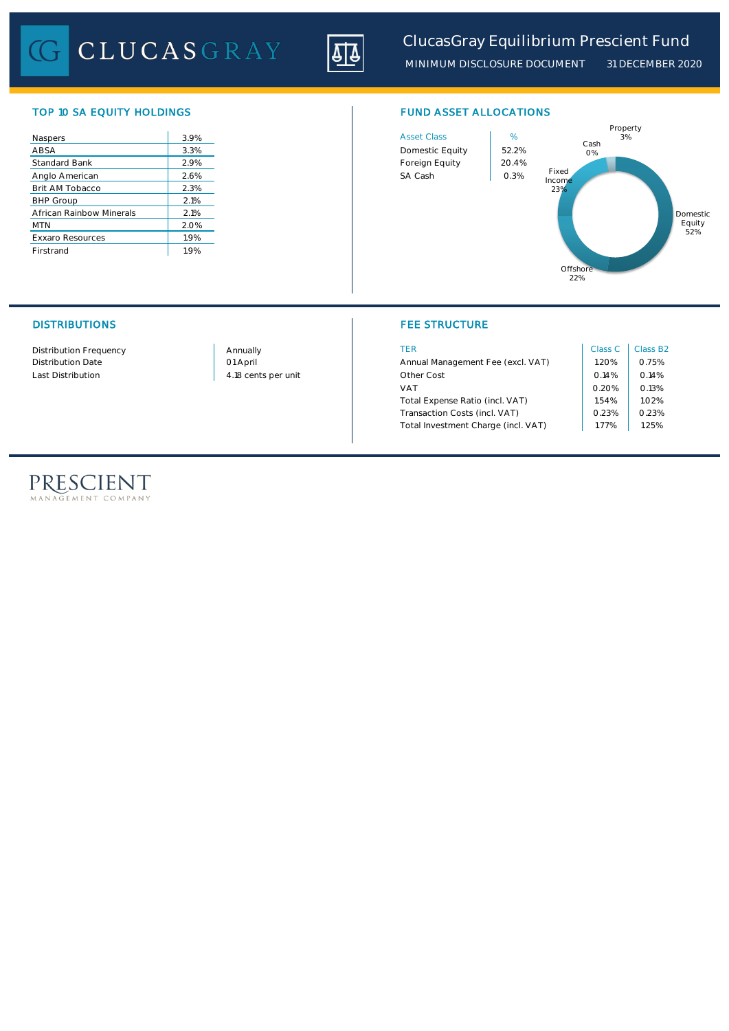CLUCASGRAY



*MINIMUM DISCLOSURE DOCUMENT 31 DECEMBER 2020*

# TOP 10 SA EQUITY HOLDINGS FUND ASSET ALLOCATIONS

| Naspers                  | 3.9% | <b>Asset Class</b> | %     |
|--------------------------|------|--------------------|-------|
| ABSA                     | 3.3% | Domestic Equity    | 52.29 |
| <b>Standard Bank</b>     | 2.9% | Foreign Equity     | 20.49 |
| Anglo American           | 2.6% | SA Cash            | 0.3%  |
| Brit AM Tobacco          | 2.3% |                    |       |
| <b>BHP Group</b>         | 2.1% |                    |       |
| African Rainbow Minerals | 2.1% |                    |       |
| <b>MTN</b>               | 2.0% |                    |       |
| <b>Exxaro Resources</b>  | 1.9% |                    |       |
| Firstrand                | 1.9% |                    |       |





# DISTRIBUTIONS FEE STRUCTURE

| Distribution Frequency   | Annually            | TER                                 | Class C        | Class B <sub>2</sub> |
|--------------------------|---------------------|-------------------------------------|----------------|----------------------|
| <b>Distribution Date</b> | 01 April            | Annual Management Fee (excl. VAT)   | .20%           | 0.75%                |
| Last Distribution        | 4.18 cents per unit | Other Cost                          | 0.14%          | 0.14%                |
|                          |                     | VAT                                 | 0.20%<br>1.54% | O.13%                |
|                          |                     | Total Expense Ratio (incl. VAT)     |                | 1.02%                |
|                          |                     | Transaction Costs (incl. VAT)       | 0.23%          | 0.23%                |
|                          |                     | Total Investment Charge (incl. VAT) | .77%           | .25%                 |